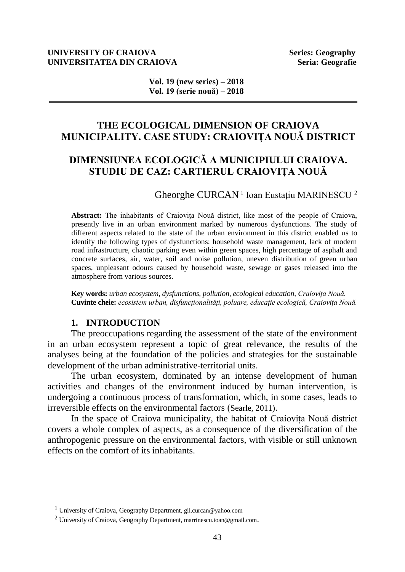#### **UNIVERSITY OF CRAIOVA** Series: Geography **UNIVERSITATEA DIN CRAIOVA Seria: Geografie**

**Vol. 19 (new series) – 2018 Vol. 19 (serie nouă) – 2018** 

# **THE ECOLOGICAL DIMENSION OF CRAIOVA MUNICIPALITY. CASE STUDY: CRAIOVIȚA NOUĂ DISTRICT**

# **DIMENSIUNEA ECOLOGICĂ A MUNICIPIULUI CRAIOVA. STUDIU DE CAZ: CARTIERUL CRAIOVIȚA NOUĂ**

Gheorghe CURCAN<sup>1</sup> Ioan Eustațiu MARINESCU<sup>2</sup>

**Abstract:** The inhabitants of Craiovița Nouă district, like most of the people of Craiova, presently live in an urban environment marked by numerous dysfunctions. The study of different aspects related to the state of the urban environment in this district enabled us to identify the following types of dysfunctions: household waste management, lack of modern road infrastructure, chaotic parking even within green spaces, high percentage of asphalt and concrete surfaces, air, water, soil and noise pollution, uneven distribution of green urban spaces, unpleasant odours caused by household waste, sewage or gases released into the atmosphere from various sources.

**Key words:** *urban ecosystem, dysfunctions, pollution, ecological education, Craiovița Nouă.* **Cuvinte cheie:** *ecosistem urban, disfuncționalități, poluare, educație ecologică, Craiovița Nouă.*

# **1. INTRODUCTION**

The preoccupations regarding the assessment of the state of the environment in an urban ecosystem represent a topic of great relevance, the results of the analyses being at the foundation of the policies and strategies for the sustainable development of the urban administrative-territorial units.

The urban ecosystem, dominated by an intense development of human activities and changes of the environment induced by human intervention, is undergoing a continuous process of transformation, which, in some cases, leads to irreversible effects on the environmental factors (Searle, 2011).

In the space of Craiova municipality, the habitat of Craiovița Nouă district covers a whole complex of aspects, as a consequence of the diversification of the anthropogenic pressure on the environmental factors, with visible or still unknown effects on the comfort of its inhabitants.

<sup>1</sup> University of Craiova, Geography Department, [gil.curcan@yahoo.com](mailto:marrinescu.ioan@gmail.com)

<sup>&</sup>lt;sup>2</sup> University of Craiova, Geography Department, [marrinescu.ioan@gmail.com](mailto:marrinescu.ioan@gmail.com).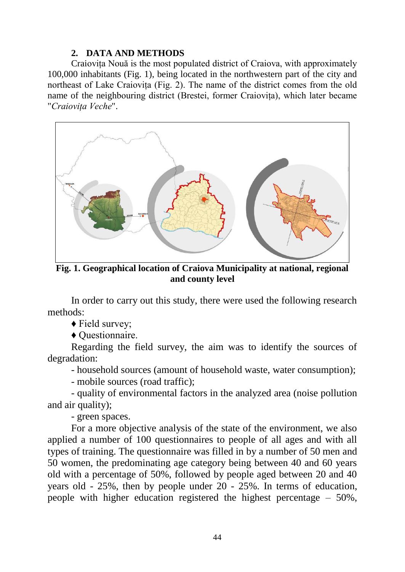# **2. DATA AND METHODS**

Craiovița Nouă is the most populated district of Craiova, with approximately 100,000 inhabitants (Fig. 1), being located in the northwestern part of the city and northeast of Lake Craiovița (Fig. 2). The name of the district comes from the old name of the neighbouring district (Brestei, former Craiovița), which later became "*Craiovița Veche*".



**Fig. 1. Geographical location of Craiova Municipality at national, regional and county level**

In order to carry out this study, there were used the following research methods:

♦ Field survey;

♦ Questionnaire.

Regarding the field survey, the aim was to identify the sources of degradation:

- household sources (amount of household waste, water consumption);

- mobile sources (road traffic);

- quality of environmental factors in the analyzed area (noise pollution and air quality);

- green spaces.

For a more objective analysis of the state of the environment, we also applied a number of 100 questionnaires to people of all ages and with all types of training. The questionnaire was filled in by a number of 50 men and 50 women, the predominating age category being between 40 and 60 years old with a percentage of 50%, followed by people aged between 20 and 40 years old - 25%, then by people under 20 - 25%. In terms of education, people with higher education registered the highest percentage – 50%,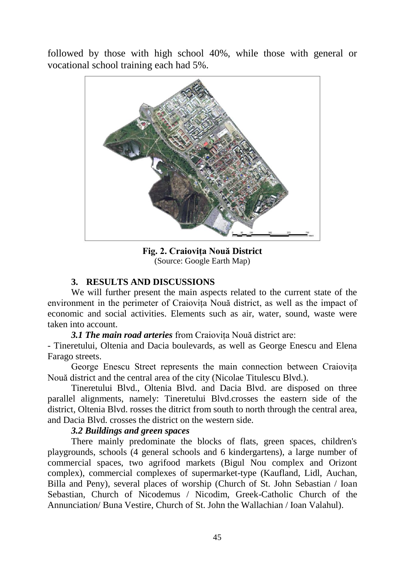followed by those with high school 40%, while those with general or vocational school training each had 5%.



**Fig. 2. Craiovița Nouă District** (Source: Google Earth Map)

# **3. RESULTS AND DISCUSSIONS**

We will further present the main aspects related to the current state of the environment in the perimeter of Craiovița Nouă district, as well as the impact of economic and social activities. Elements such as air, water, sound, waste were taken into account.

*3.1 The main road arteries* from Craiovița Nouă district are:

- Tineretului, Oltenia and Dacia boulevards, as well as George Enescu and Elena Farago streets.

George Enescu Street represents the main connection between Craiovița Nouă district and the central area of the city (Nicolae Titulescu Blvd.).

Tineretului Blvd., Oltenia Blvd. and Dacia Blvd. are disposed on three parallel alignments, namely: Tineretului Blvd.crosses the eastern side of the district, Oltenia Blvd. rosses the ditrict from south to north through the central area, and Dacia Blvd. crosses the district on the western side.

# *3.2 Buildings and green spaces*

There mainly predominate the blocks of flats, green spaces, children's playgrounds, schools (4 general schools and 6 kindergartens), a large number of commercial spaces, two agrifood markets (Bigul Nou complex and Orizont complex), commercial complexes of supermarket-type (Kaufland, Lidl, Auchan, Billa and Peny), several places of worship (Church of St. John Sebastian / Ioan Sebastian, Church of Nicodemus / Nicodim, Greek-Catholic Church of the Annunciation/ Buna Vestire, Church of St. John the Wallachian / Ioan Valahul).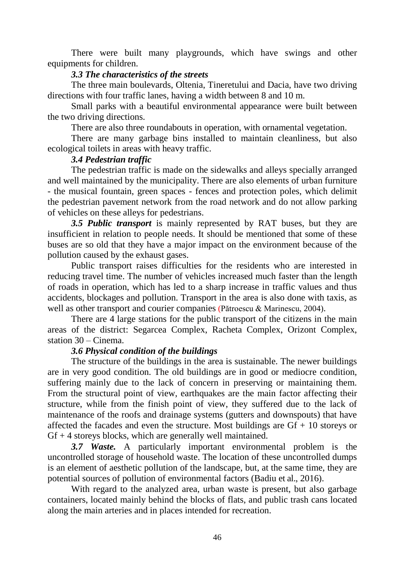There were built many playgrounds, which have swings and other equipments for children.

## *3.3 The characteristics of the streets*

The three main boulevards, Oltenia, Tineretului and Dacia, have two driving directions with four traffic lanes, having a width between 8 and 10 m.

Small parks with a beautiful environmental appearance were built between the two driving directions.

There are also three roundabouts in operation, with ornamental vegetation.

There are many garbage bins installed to maintain cleanliness, but also ecological toilets in areas with heavy traffic.

### *3.4 Pedestrian traffic*

The pedestrian traffic is made on the sidewalks and alleys specially arranged and well maintained by the municipality. There are also elements of urban furniture - the musical fountain, green spaces - fences and protection poles, which delimit the pedestrian pavement network from the road network and do not allow parking of vehicles on these alleys for pedestrians.

*3.5 Public transport* is mainly represented by RAT buses, but they are insufficient in relation to people needs. It should be mentioned that some of these buses are so old that they have a major impact on the environment because of the pollution caused by the exhaust gases.

Public transport raises difficulties for the residents who are interested in reducing travel time. The number of vehicles increased much faster than the length of roads in operation, which has led to a sharp increase in traffic values and thus accidents, blockages and pollution. Transport in the area is also done with taxis, as well as other transport and courier companies (Pătroescu & Marinescu, 2004).

There are 4 large stations for the public transport of the citizens in the main areas of the district: Segarcea Complex, Racheta Complex, Orizont Complex, station 30 – Cinema.

# *3.6 Physical condition of the buildings*

The structure of the buildings in the area is sustainable. The newer buildings are in very good condition. The old buildings are in good or mediocre condition, suffering mainly due to the lack of concern in preserving or maintaining them. From the structural point of view, earthquakes are the main factor affecting their structure, while from the finish point of view, they suffered due to the lack of maintenance of the roofs and drainage systems (gutters and downspouts) that have affected the facades and even the structure. Most buildings are  $Gf + 10$  storeys or  $Gf + 4$  storeys blocks, which are generally well maintained.

*3.7 Waste.* A particularly important environmental problem is the uncontrolled storage of household waste. The location of these uncontrolled dumps is an element of aesthetic pollution of the landscape, but, at the same time, they are potential sources of pollution of environmental factors (Badiu et al., 2016).

With regard to the analyzed area, urban waste is present, but also garbage containers, located mainly behind the blocks of flats, and public trash cans located along the main arteries and in places intended for recreation.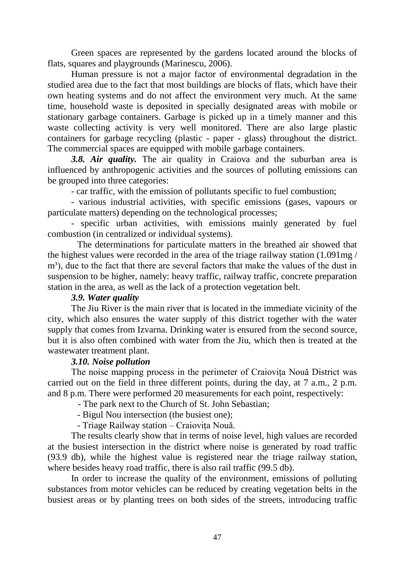Green spaces are represented by the gardens located around the blocks of flats, squares and playgrounds (Marinescu, 2006).

Human pressure is not a major factor of environmental degradation in the studied area due to the fact that most buildings are blocks of flats, which have their own heating systems and do not affect the environment very much. At the same time, household waste is deposited in specially designated areas with mobile or stationary garbage containers. Garbage is picked up in a timely manner and this waste collecting activity is very well monitored. There are also large plastic containers for garbage recycling (plastic - paper - glass) throughout the district. The commercial spaces are equipped with mobile garbage containers.

*3.8. Air quality.* The air quality in Craiova and the suburban area is influenced by anthropogenic activities and the sources of polluting emissions can be grouped into three categories:

- car traffic, with the emission of pollutants specific to fuel combustion;

- various industrial activities, with specific emissions (gases, vapours or particulate matters) depending on the technological processes;

- specific urban activities, with emissions mainly generated by fuel combustion (in centralized or individual systems).

The determinations for particulate matters in the breathed air showed that the highest values were recorded in the area of the triage railway station (1.091mg / m<sup>3</sup>), due to the fact that there are several factors that make the values of the dust in suspension to be higher, namely: heavy traffic, railway traffic, concrete preparation station in the area, as well as the lack of a protection vegetation belt.

# *3.9. Water quality*

The Jiu River is the main river that is located in the immediate vicinity of the city, which also ensures the water supply of this district together with the water supply that comes from Izvarna. Drinking water is ensured from the second source, but it is also often combined with water from the Jiu, which then is treated at the wastewater treatment plant.

# *3.10. Noise pollution*

The noise mapping process in the perimeter of Craiovița Nouă District was carried out on the field in three different points, during the day, at 7 a.m., 2 p.m. and 8 p.m. There were performed 20 measurements for each point, respectively:

- The park next to the Church of St. John Sebastian;

- Bigul Nou intersection (the busiest one);

- Triage Railway station – Craiovița Nouă.

The results clearly show that in terms of noise level, high values are recorded at the busiest intersection in the district where noise is generated by road traffic (93.9 db), while the highest value is registered near the triage railway station, where besides heavy road traffic, there is also rail traffic (99.5 db).

In order to increase the quality of the environment, emissions of polluting substances from motor vehicles can be reduced by creating vegetation belts in the busiest areas or by planting trees on both sides of the streets, introducing traffic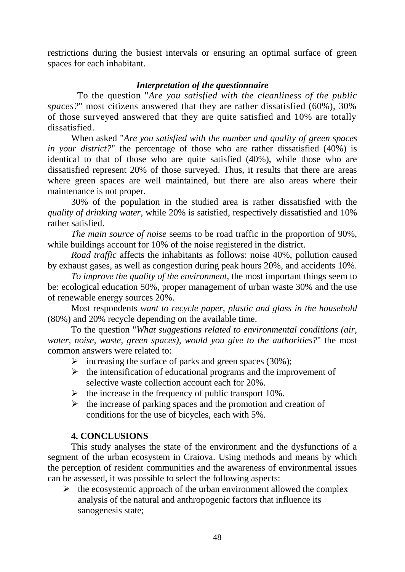restrictions during the busiest intervals or ensuring an optimal surface of green spaces for each inhabitant.

# *Interpretation of the questionnaire*

To the question "*Are you satisfied with the cleanliness of the public spaces?*" most citizens answered that they are rather dissatisfied (60%), 30% of those surveyed answered that they are quite satisfied and 10% are totally dissatisfied.

When asked "*Are you satisfied with the number and quality of green spaces in your district?*" the percentage of those who are rather dissatisfied (40%) is identical to that of those who are quite satisfied (40%), while those who are dissatisfied represent 20% of those surveyed. Thus, it results that there are areas where green spaces are well maintained, but there are also areas where their maintenance is not proper.

30% of the population in the studied area is rather dissatisfied with the *quality of drinking water*, while 20% is satisfied, respectively dissatisfied and 10% rather satisfied.

*The main source of noise* seems to be road traffic in the proportion of 90%, while buildings account for 10% of the noise registered in the district.

*Road traffic* affects the inhabitants as follows: noise 40%, pollution caused by exhaust gases, as well as congestion during peak hours 20%, and accidents 10%.

*To improve the quality of the environment,* the most important things seem to be: ecological education 50%, proper management of urban waste 30% and the use of renewable energy sources 20%.

Most respondents *want to recycle paper, plastic and glass in the household* (80%) and 20% recycle depending on the available time.

To the question "*What suggestions related to environmental conditions (air, water, noise, waste, green spaces), would you give to the authorities?*" the most common answers were related to:

- $\triangleright$  increasing the surface of parks and green spaces (30%);
- $\triangleright$  the intensification of educational programs and the improvement of selective waste collection account each for 20%.
- $\blacktriangleright$  the increase in the frequency of public transport 10%.
- $\triangleright$  the increase of parking spaces and the promotion and creation of conditions for the use of bicycles, each with 5%.

# **4. CONCLUSIONS**

This study analyses the state of the environment and the dysfunctions of a segment of the urban ecosystem in Craiova. Using methods and means by which the perception of resident communities and the awareness of environmental issues can be assessed, it was possible to select the following aspects:

 $\triangleright$  the ecosystemic approach of the urban environment allowed the complex analysis of the natural and anthropogenic factors that influence its sanogenesis state;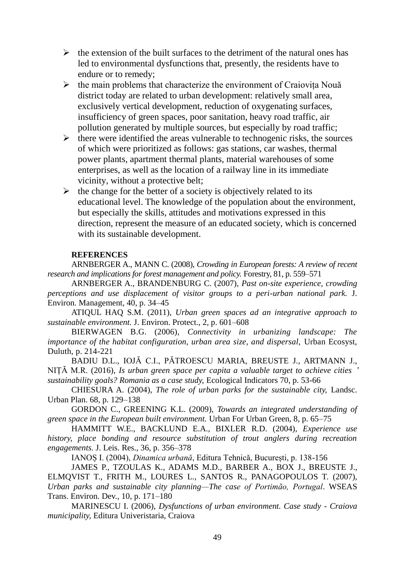- $\triangleright$  the extension of the built surfaces to the detriment of the natural ones has led to environmental dysfunctions that, presently, the residents have to endure or to remedy;
- $\triangleright$  the main problems that characterize the environment of Craiovita Nouă district today are related to urban development: relatively small area, exclusively vertical development, reduction of oxygenating surfaces, insufficiency of green spaces, poor sanitation, heavy road traffic, air pollution generated by multiple sources, but especially by road traffic;
- $\triangleright$  there were identified the areas vulnerable to technogenic risks, the sources of which were prioritized as follows: gas stations, car washes, thermal power plants, apartment thermal plants, material warehouses of some enterprises, as well as the location of a railway line in its immediate vicinity, without a protective belt;
- $\triangleright$  the change for the better of a society is objectively related to its educational level. The knowledge of the population about the environment, but especially the skills, attitudes and motivations expressed in this direction, represent the measure of an educated society, which is concerned with its sustainable development.

#### **REFERENCES**

ARNBERGER A., MANN C. (2008), *Crowding in European forests: A review of recent research and implications for forest management and policy.* Forestry, 81, p. 559–571

ARNBERGER A., BRANDENBURG C. (2007), *Past on-site experience, crowding perceptions and use displacement of visitor groups to a peri-urban national park.* J. Environ. Management, 40, p. 34–45

ATIQUL HAQ S.M. (2011), *Urban green spaces ad an integrative approach to sustainable environment.* J. Environ. Protect., 2, p. 601–608

BIERWAGEN B.G. (2006), *Connectivity in urbanizing landscape: The importance of the habitat configuration, urban area size, and dispersal, Urban Ecosyst,* Duluth, p. 214-221

BADIU D.L., IOJĂ C.I., PĂTROESCU MARIA, BREUSTE J., ARTMANN J., NIȚĂ M.R. (2016), *Is urban green space per capita a valuable target to achieve cities ' sustainability goals? Romania as a case study,* Ecological Indicators 70, p. 53-66

CHIESURA A. (2004), *The role of urban parks for the sustainable city,* Landsc. Urban Plan. 68, p. 129–138

GORDON C., GREENING K.L. (2009), *Towards an integrated understanding of green space in the European built environment.* Urban For Urban Green, 8, p. 65–75

HAMMITT W.E., BACKLUND E.A., BIXLER R.D. (2004), *Experience use history, place bonding and resource substitution of trout anglers during recreation engagements.* J. Leis. Res., 36, p. 356–378

IANOȘ I. (2004), *Dinamica urbană*, Editura Tehnică, București, p. 138-156

JAMES P., TZOULAS K., ADAMS M.D., BARBER A., BOX J., BREUSTE J., ELMQVIST T., FRITH M., LOURES L., SANTOS R., PANAGOPOULOS T. (2007), *Urban parks and sustainable city planning—The case of Portimão, Portugal*. WSEAS Trans. Environ. Dev., 10, p. 171–180

MARINESCU I. (2006), *Dysfunctions of urban environment. Case study - Craiova municipality,* Editura Univeristaria, Craiova